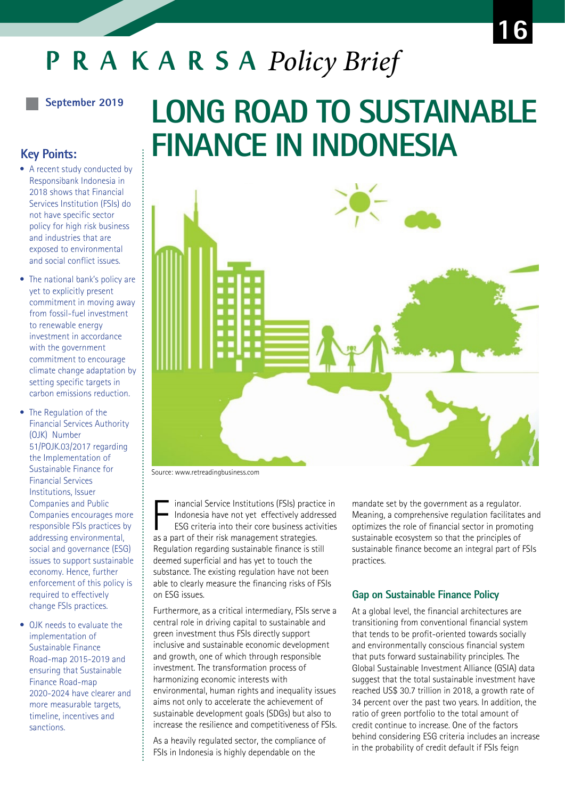# **PRAKARSA** Policy Brief

## **September 2019**

# **Key Points:**

- A recent study conducted by Responsibank Indonesia in 2018 shows that Financial Services Institution (FSIs) do not have specific sector policy for high risk business and industries that are exposed to environmental and social conflict issues.
- $\bullet$  The national bank's policy are yet to explicitly present commitment in moving away from fossil-fuel investment to renewable energy investment in accordance with the government commitment to encourage climate change adaptation by setting specific targets in carbon emissions reduction.
- The Regulation of the Financial Services Authority (OJK) Number 51/POJK.03/2017 regarding the Implementation of Sustainable Finance for Financial Services Institutions, Issuer Companies and Public Companies encourages more responsible FSIs practices by addressing environmental, social and governance (ESG) issues to support sustainable economy. Hence, further enforcement of this policy is required to effectively change FSIs practices.
- OJK needs to evaluate the implementation of Sustainable Finance Road-map 2015-2019 and ensuring that Sustainable Finance Road-map 2020-2024 have clearer and more measurable targets, timeline, incentives and sanctions.

# **LONG ROAD TO SUSTAINABLE FINANCE IN INDONESIA**



Source: www.retreadingbusiness.com

inancial Service Institutions (FSIs) practice in Indonesia have not yet effectively addressed ESG criteria into their core business activities inancial Service Institutions (FSIs) practicles<br>Indonesia have not yet effectively addre<br>ESG criteria into their core business actives<br>as a part of their risk management strategies. Regulation regarding sustainable finance is still deemed superficial and has yet to touch the substance. The existing regulation have not been able to clearly measure the financing risks of FSIs on ESG issues.

Furthermore, as a critical intermediary, FSIs serve a central role in driving capital to sustainable and green investment thus FSIs directly support inclusive and sustainable economic development and growth, one of which through responsible investment. The transformation process of harmonizing economic interests with environmental, human rights and inequality issues aims not only to accelerate the achievement of sustainable development goals (SDGs) but also to increase the resilience and competitiveness of FSIs.

As a heavily regulated sector, the compliance of FSIs in Indonesia is highly dependable on the

mandate set by the government as a regulator. Meaning, a comprehensive regulation facilitates and optimizes the role of financial sector in promoting sustainable ecosystem so that the principles of sustainable finance become an integral part of FSIs practices.

#### **Gap on Sustainable Finance Policy**

At a global level, the financial architectures are transitioning from conventional financial system that tends to be profit-oriented towards socially and environmentally conscious financial system that puts forward sustainability principles. The Global Sustainable Investment Alliance (GSIA) data suggest that the total sustainable investment have reached US\$ 30.7 trillion in 2018, a growth rate of 34 percent over the past two years. In addition, the ratio of green portfolio to the total amount of credit continue to increase. One of the factors behind considering ESG criteria includes an increase in the probability of credit default if FSIs feign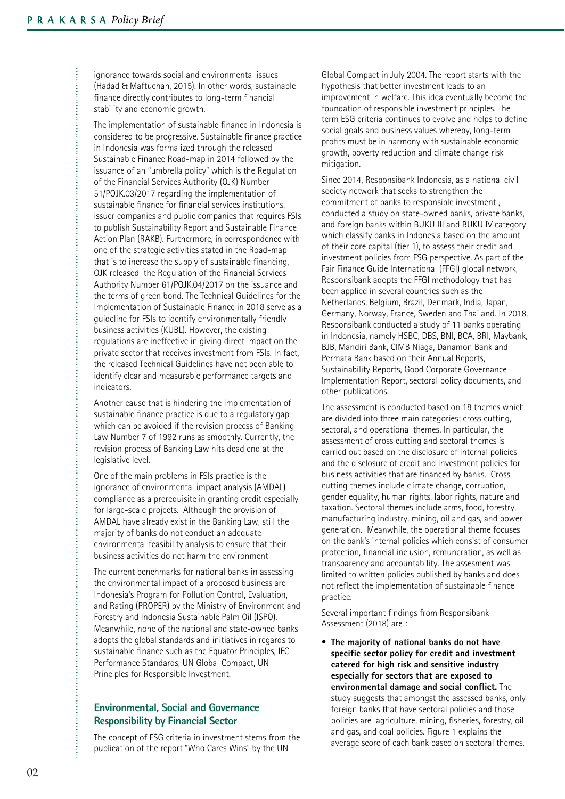**..............** 

ignorance towards social and environmental issues (Hadad & Maftuchah, 2015). In other words, sustainable finance directly contributes to long-term financial stability and economic growth.

The implementation of sustainable finance in Indonesia is considered to be progressive. Sustainable finance practice in Indonesia was formalized through the released Sustainable Finance Road-map in 2014 followed by the issuance of an "umbrella policy" which is the Regulation of the Financial Services Authority (OJK) Number 51/POJK.03/2017 regarding the implementation of sustainable finance for financial services institutions, issuer companies and public companies that requires FSIs to publish Sustainability Report and Sustainable Finance Action Plan (RAKB). Furthermore, in correspondence with one of the strategic activities stated in the Road-map that is to increase the supply of sustainable financing, OJK released the Regulation of the Financial Services Authority Number 61/POJK.04/2017 on the issuance and the terms of green bond. The Technical Guidelines for the Implementation of Sustainable Finance in 2018 serve as a guideline for FSIs to identify environmentally friendly business activities (KUBL). However, the existing regulations are ineffective in giving direct impact on the private sector that receives investment from FSIs. In fact, the released Technical Guidelines have not been able to identify clear and measurable performance targets and indicators.

Another cause that is hindering the implementation of sustainable finance practice is due to a regulatory gap which can be avoided if the revision process of Banking Law Number 7 of 1992 runs as smoothly. Currently, the revision process of Banking Law hits dead end at the legislative level.

One of the main problems in FSIs practice is the ignorance of environmental impact analysis (AMDAL) compliance as a prerequisite in granting credit especially for large-scale projects. Although the provision of AMDAL have already exist in the Banking Law, still the majority of banks do not conduct an adequate environmental feasibility analysis to ensure that their business activities do not harm the environment

The current benchmarks for national banks in assessing the environmental impact of a proposed business are Indonesia's Program for Pollution Control, Evaluation, and Rating (PROPER) by the Ministry of Environment and Forestry and Indonesia Sustainable Palm Oil (ISPO). Meanwhile, none of the national and state-owned banks adopts the global standards and initiatives in regards to sustainable finance such as the Equator Principles, IFC Performance Standards, UN Global Compact, UN Principles for Responsible Investment.

# **Environmental, Social and Governance Responsibility by Financial Sector**

The concept of ESG criteria in investment stems from the publication of the report "Who Cares Wins" by the UN

Global Compact in July 2004. The report starts with the hypothesis that better investment leads to an improvement in welfare. This idea eventually become the foundation of responsible investment principles. The term ESG criteria continues to evolve and helps to define social goals and business values whereby, long-term profits must be in harmony with sustainable economic growth, poverty reduction and climate change risk mitigation.

Since 2014, Responsibank Indonesia, as a national civil society network that seeks to strengthen the commitment of banks to responsible investment , conducted a study on state-owned banks, private banks, and foreign banks within BUKU III and BUKU IV category which classify banks in Indonesia based on the amount of their core capital (tier 1), to assess their credit and investment policies from ESG perspective. As part of the Fair Finance Guide International (FFGI) global network, Responsibank adopts the FFGI methodology that has been applied in several countries such as the Netherlands, Belgium, Brazil, Denmark, India, Japan, Germany, Norway, France, Sweden and Thailand. In 2018, Responsibank conducted a study of 11 banks operating in Indonesia, namely HSBC, DBS, BNI, BCA, BRI, Maybank, BJB, Mandiri Bank, CIMB Niaga, Danamon Bank and Permata Bank based on their Annual Reports, Sustainability Reports, Good Corporate Governance Implementation Report, sectoral policy documents, and other publications.

The assessment is conducted based on 18 themes which are divided into three main categories: cross cutting, sectoral, and operational themes. In particular, the assessment of cross cutting and sectoral themes is carried out based on the disclosure of internal policies and the disclosure of credit and investment policies for business activities that are financed by banks. Cross cutting themes include climate change, corruption, gender equality, human rights, labor rights, nature and taxation. Sectoral themes include arms, food, forestry, manufacturing industry, mining, oil and gas, and power generation. Meanwhile, the operational theme focuses on the bank's internal policies which consist of consumer protection, financial inclusion, remuneration, as well as transparency and accountability. The assesment was limited to written policies published by banks and does not reflect the implementation of sustainable finance practice.

Several important findings from Responsibank Assessment (2018) are :

• The majority of national banks do not have **specific sector policy for credit and investment catered for high risk and sensitive industry especially for sectors that are exposed to environmental damage and social conflict.** The study suggests that amongst the assessed banks, only foreign banks that have sectoral policies and those policies are agriculture, mining, fisheries, forestry, oil and gas, and coal policies. Figure 1 explains the average score of each bank based on sectoral themes.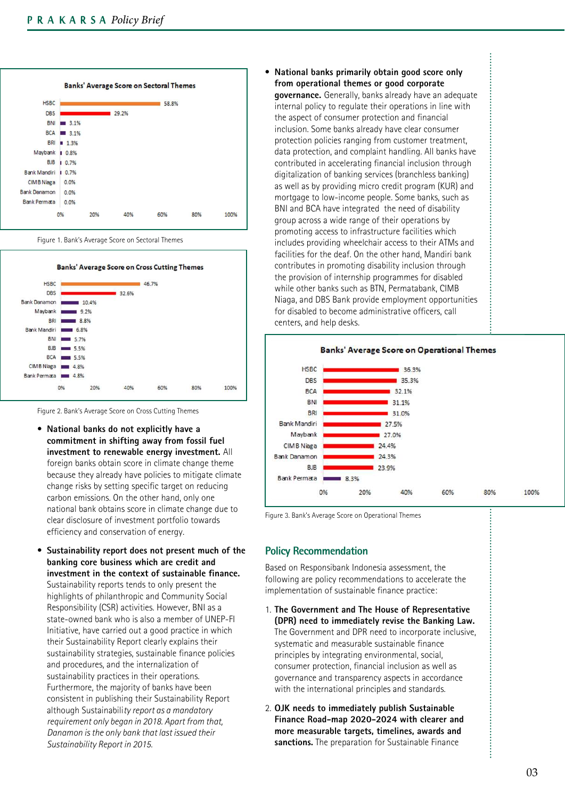





Figure 2. Bank's Average Score on Cross Cutting Themes

- ï **National banks do not explicitly have a commitment in shifting away from fossil fuel investment to renewable energy investment.** All foreign banks obtain score in climate change theme because they already have policies to mitigate climate change risks by setting specific target on reducing carbon emissions. On the other hand, only one national bank obtains score in climate change due to clear disclosure of investment portfolio towards efficiency and conservation of energy.
- **Sustainability report does not present much of the banking core business which are credit and investment in the context of sustainable finance.**  Sustainability reports tends to only present the highlights of philanthropic and Community Social Responsibility (CSR) activities. However, BNI as a state-owned bank who is also a member of UNEP-FI Initiative, have carried out a good practice in which their Sustainability Report clearly explains their sustainability strategies, sustainable finance policies and procedures, and the internalization of sustainability practices in their operations. Furthermore, the majority of banks have been consistent in publishing their Sustainability Report although Sustainabili*ty report as a mandatory requirement only began in 2018. Apart from that, Danamon is the only bank that last issued their Sustainability Report in 2015.*

National banks primarily obtain good score only **from operational themes or good corporate governance.** Generally, banks already have an adequate internal policy to regulate their operations in line with the aspect of consumer protection and financial inclusion. Some banks already have clear consumer protection policies ranging from customer treatment, data protection, and complaint handling. All banks have contributed in accelerating financial inclusion through digitalization of banking services (branchless banking) as well as by providing micro credit program (KUR) and mortgage to low-income people. Some banks, such as BNI and BCA have integrated the need of disability group across a wide range of their operations by promoting access to infrastructure facilities which includes providing wheelchair access to their ATMs and facilities for the deaf. On the other hand, Mandiri bank contributes in promoting disability inclusion through the provision of internship programmes for disabled while other banks such as BTN, Permatabank, CIMB Niaga, and DBS Bank provide employment opportunities for disabled to become administrative officers, call centers, and help desks.



Figure 3. Bank's Average Score on Operational Themes

### **Policy Recommendation**

Based on Responsibank Indonesia assessment, the following are policy recommendations to accelerate the implementation of sustainable finance practice:

- 1. **The Government and The House of Representative (DPR) need to immediately revise the Banking Law.**  The Government and DPR need to incorporate inclusive, systematic and measurable sustainable finance principles by integrating environmental, social, consumer protection, financial inclusion as well as governance and transparency aspects in accordance with the international principles and standards.
- 2. **OJK needs to immediately publish Sustainable Finance Road-map 2020-2024 with clearer and more measurable targets, timelines, awards and sanctions.** The preparation for Sustainable Finance

.........